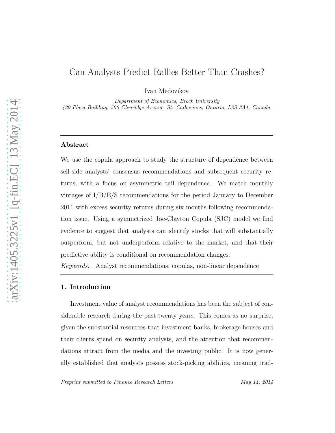# Can Analysts Predict Rallies Better Than Crashes?

Ivan Medovikov

*Department of Economics, Brock University 429 Plaza Building, 500 Glenridge Avenue, St. Catharines, Ontario, L2S 3A1, Canada.*

# Abstract

We use the copula approach to study the structure of dependence between sell-side analysts' consensus recommendations and subsequent security returns, with a focus on asymmetric tail dependence. We match monthly vintages of I/B/E/S recommendations for the period January to December 2011 with excess security returns during six months following recommendation issue. Using a symmetrized Joe-Clayton Copula (SJC) model we find evidence to suggest that analysts can identify stocks that will substantially outperform, but not underperform relative to the market, and that their predictive ability is conditional on recommendation changes.

*Keywords:* Analyst recommendations, copulas, non-linear dependence

# 1. Introduction

Investment value of analyst recommendations has been the subject of considerable research during the past twenty years. This comes as no surprise, given the substantial resources that investment banks, brokerage houses and their clients spend on security analysts, and the attention that recommendations attract from the media and the investing public. It is now generally established that analysts possess stock-picking abilities, meaning trad-

*Preprint submitted to Finance Research Letters May 14, 2014*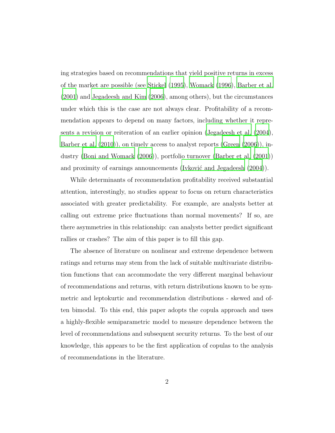ing strategies based on recommendations that yield positive returns in excess of the market are possible (see [Stickel \(1995\)](#page-14-0), [Womack \(1996\)](#page-14-1), [Barber et al.](#page-12-0) [\(2001\)](#page-12-0) and [Jegadeesh and Kim \(2006\)](#page-13-0), among others), but the circumstances under which this is the case are not always clear. Profitability of a recommendation appears to depend on many factors, including whether it represents a revision or reiteration of an earlier opinion [\(Jegadeesh et al.](#page-13-1) [\(2004\)](#page-13-1), [Barber et al. \(2010\)](#page-12-1)), on timely access to analyst reports [\(Green](#page-13-2) [\(2006\)](#page-13-2)), industry [\(Boni and Womack \(2006](#page-12-2))), portfolio turnover [\(Barber et al. \(2001](#page-12-0))) and proximity of earnings announcements (Ivković and Jegadeesh  $(2004)$ ).

While determinants of recommendation profitability received substantial attention, interestingly, no studies appear to focus on return characteristics associated with greater predictability. For example, are analysts better at calling out extreme price fluctuations than normal movements? If so, are there asymmetries in this relationship: can analysts better predict significant rallies or crashes? The aim of this paper is to fill this gap.

The absence of literature on nonlinear and extreme dependence between ratings and returns may stem from the lack of suitable multivariate distribution functions that can accommodate the very different marginal behaviour of recommendations and returns, with return distributions known to be symmetric and leptokurtic and recommendation distributions - skewed and often bimodal. To this end, this paper adopts the copula approach and uses a highly-flexible semiparametric model to measure dependence between the level of recommendations and subsequent security returns. To the best of our knowledge, this appears to be the first application of copulas to the analysis of recommendations in the literature.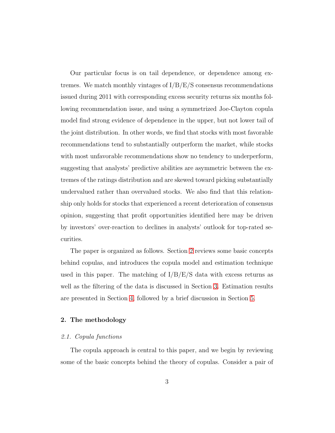Our particular focus is on tail dependence, or dependence among extremes. We match monthly vintages of  $I/B/E/S$  consensus recommendations issued during 2011 with corresponding excess security returns six months following recommendation issue, and using a symmetrized Joe-Clayton copula model find strong evidence of dependence in the upper, but not lower tail of the joint distribution. In other words, we find that stocks with most favorable recommendations tend to substantially outperform the market, while stocks with most unfavorable recommendations show no tendency to underperform, suggesting that analysts' predictive abilities are asymmetric between the extremes of the ratings distribution and are skewed toward picking substantially undervalued rather than overvalued stocks. We also find that this relationship only holds for stocks that experienced a recent deterioration of consensus opinion, suggesting that profit opportunities identified here may be driven by investors' over-reaction to declines in analysts' outlook for top-rated securities.

The paper is organized as follows. Section [2](#page-2-0) reviews some basic concepts behind copulas, and introduces the copula model and estimation technique used in this paper. The matching of  $I/B/E/S$  data with excess returns as well as the filtering of the data is discussed in Section [3.](#page-7-0) Estimation results are presented in Section [4,](#page-10-0) followed by a brief discussion in Section [5.](#page-11-0)

### <span id="page-2-0"></span>2. The methodology

#### *2.1. Copula functions*

The copula approach is central to this paper, and we begin by reviewing some of the basic concepts behind the theory of copulas. Consider a pair of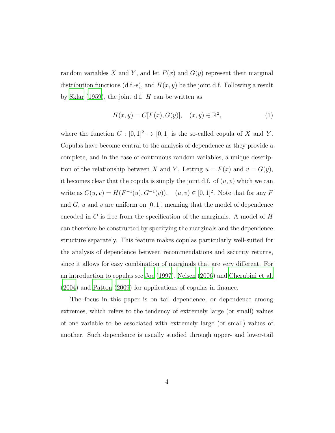random variables X and Y, and let  $F(x)$  and  $G(y)$  represent their marginal distribution functions (d.f.-s), and  $H(x, y)$  be the joint d.f. Following a result by Sklar  $(1959)$ , the joint d.f. H can be written as

$$
H(x, y) = C[F(x), G(y)], (x, y) \in \mathbb{R}^{2},
$$
 (1)

where the function  $C : [0,1]^2 \to [0,1]$  is the so-called copula of X and Y. Copulas have become central to the analysis of dependence as they provide a complete, and in the case of continuous random variables, a unique description of the relationship between X and Y. Letting  $u = F(x)$  and  $v = G(y)$ , it becomes clear that the copula is simply the joint d.f. of  $(u, v)$  which we can write as  $C(u, v) = H(F^{-1}(u), G^{-1}(v)), \quad (u, v) \in [0, 1]^2$ . Note that for any F and  $G, u$  and  $v$  are uniform on  $[0, 1]$ , meaning that the model of dependence encoded in C is free from the specification of the marginals. A model of  $H$ can therefore be constructed by specifying the marginals and the dependence structure separately. This feature makes copulas particularly well-suited for the analysis of dependence between recommendations and security returns, since it allows for easy combination of marginals that are very different. For an introduction to copulas see [Joe \(1997\)](#page-13-4), [Nelsen \(2006](#page-14-3)) and [Cherubini et al.](#page-12-3) [\(2004\)](#page-12-3) and [Patton \(2009\)](#page-14-4) for applications of copulas in finance.

The focus in this paper is on tail dependence, or dependence among extremes, which refers to the tendency of extremely large (or small) values of one variable to be associated with extremely large (or small) values of another. Such dependence is usually studied through upper- and lower-tail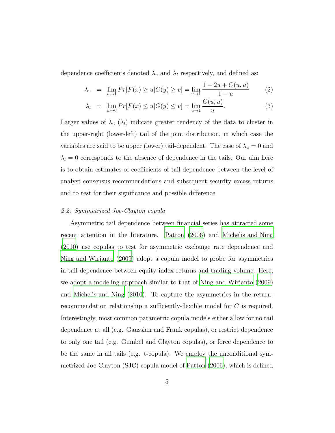dependence coefficients denoted  $\lambda_u$  and  $\lambda_l$  respectively, and defined as:

$$
\lambda_u = \lim_{u \to 1} Pr[F(x) \ge u | G(y) \ge v] = \lim_{u \to 1} \frac{1 - 2u + C(u, u)}{1 - u}
$$
(2)

$$
\lambda_l = \lim_{u \to 0} Pr[F(x) \le u | G(y) \le v] = \lim_{u \to 1} \frac{C(u, u)}{u}.
$$
 (3)

Larger values of  $\lambda_u$  ( $\lambda_l$ ) indicate greater tendency of the data to cluster in the upper-right (lower-left) tail of the joint distribution, in which case the variables are said to be upper (lower) tail-dependent. The case of  $\lambda_u = 0$  and  $\lambda_l = 0$  corresponds to the absence of dependence in the tails. Our aim here is to obtain estimates of coefficients of tail-dependence between the level of analyst consensus recommendations and subsequent security excess returns and to test for their significance and possible difference.

#### *2.2. Symmetrized Joe-Clayton copula*

Asymmetric tail dependence between financial series has attracted some recent attention in the literature. [Patton \(2006\)](#page-14-5) and [Michelis and Ning](#page-13-5) [\(2010\)](#page-13-5) use copulas to test for asymmetric exchange rate dependence and [Ning and Wirjanto \(2009\)](#page-14-6) adopt a copula model to probe for asymmetries in tail dependence between equity index returns and trading volume. Here, we adopt a modeling approach similar to that of [Ning and Wirjanto \(2009\)](#page-14-6) and [Michelis and Ning \(2010](#page-13-5)). To capture the asymmetries in the returnrecommendation relationship a sufficiently-flexible model for C is required. Interestingly, most common parametric copula models either allow for no tail dependence at all (e.g. Gaussian and Frank copulas), or restrict dependence to only one tail (e.g. Gumbel and Clayton copulas), or force dependence to be the same in all tails (e.g. t-copula). We employ the unconditional symmetrized Joe-Clayton (SJC) copula model of [Patton \(2006](#page-14-5)), which is defined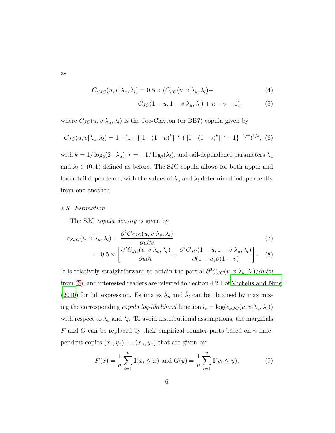as

$$
C_{SJC}(u, v | \lambda_u, \lambda_l) = 0.5 \times (C_{JC}(u, v | \lambda_u, \lambda_l)) +
$$
\n(4)

$$
C_{JC}(1 - u, 1 - v|\lambda_u, \lambda_l) + u + v - 1),
$$
 (5)

 $\partial(1-u)\partial(1-v)$ 

where  $C_{JC}(u, v | \lambda_u, \lambda_l)$  is the Joe-Clayton (or BB7) copula given by

<span id="page-5-0"></span>
$$
C_{JC}(u, v|\lambda_u, \lambda_l) = 1 - (1 - \{[1 - (1 - u)^k]^{-r} + [1 - (1 - v)^k]^{-r} - 1\}^{-1/r})^{1/k}, (6)
$$

with  $k = 1/\log_2(2-\lambda_u)$ ,  $r = -1/\log_2(\lambda_l)$ , and tail-dependence parameters  $\lambda_u$ and  $\lambda_l \in (0, 1)$  defined as before. The SJC copula allows for both upper and lower-tail dependence, with the values of  $\lambda_u$  and  $\lambda_l$  determined independently from one another.

#### *2.3. Estimation*

The SJC *copula density* is given by

$$
c_{SJC}(u, v | \lambda_u, \lambda_l) = \frac{\partial^2 C_{SJC}(u, v | \lambda_u, \lambda_l)}{\partial u \partial v} = 0.5 \times \left[ \frac{\partial^2 C_{JC}(u, v | \lambda_u, \lambda_l)}{\partial u \partial v} + \frac{\partial^2 C_{JC}(1 - u, 1 - v | \lambda_u, \lambda_l)}{\partial (1 - u) \partial (1 - v)} \right].
$$
 (8)

It is relatively straightforward to obtain the partial  $\partial^2 C_{JC}(u, v | \lambda_u, \lambda_l) / \partial u \partial v$ from [\(6\)](#page-5-0), and interested readers are referred to Section 4.2.1 of [Michelis and Ning](#page-13-5) [\(2010\)](#page-13-5) for full expression. Estimates  $\hat{\lambda}_u$  and  $\hat{\lambda}_l$  can be obtained by maximizing the corresponding *copula log-likelihood* function  $l_c = \log(c_{SJC}(u, v | \lambda_u, \lambda_l))$ with respect to  $\lambda_u$  and  $\lambda_l$ . To avoid distributional assumptions, the marginals  $F$  and  $G$  can be replaced by their empirical counter-parts based on  $n$  independent copies  $(x_1, y_x), ..., (x_n, y_n)$  that are given by:

$$
\hat{F}(x) = \frac{1}{n} \sum_{i=1}^{n} \mathbb{I}(x_i \le x) \text{ and } \hat{G}(y) = \frac{1}{n} \sum_{i=1}^{n} \mathbb{I}(y_i \le y), \tag{9}
$$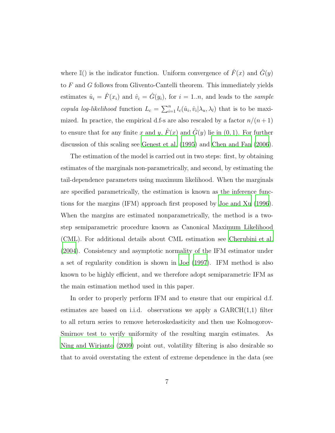where I() is the indicator function. Uniform convergence of  $\hat{F}(x)$  and  $\hat{G}(y)$ to F and G follows from Glivento-Cantelli theorem. This immediately yields estimates  $\hat{u}_i = \hat{F}(x_i)$  and  $\hat{v}_i = \hat{G}(y_i)$ , for  $i = 1..n$ , and leads to the *sample copula log-likelihood* function  $L_c = \sum_{i=1}^n l_c(\hat{u}_i, \hat{v}_i | \lambda_u, \lambda_l)$  that is to be maximized. In practice, the empirical d.f-s are also rescaled by a factor  $n/(n+1)$ to ensure that for any finite x and y,  $\hat{F}(x)$  and  $\hat{G}(y)$  lie in  $(0, 1)$ . For further discussion of this scaling see [Genest et al. \(1995](#page-13-6)) and [Chen and Fan \(2006\)](#page-12-4).

The estimation of the model is carried out in two steps: first, by obtaining estimates of the marginals non-parametrically, and second, by estimating the tail-dependence parameters using maximum likelihood. When the marginals are specified parametrically, the estimation is known as the inference functions for the margins (IFM) approach first proposed by [Joe and Xu](#page-13-7) [\(1996\)](#page-13-7). When the margins are estimated nonparametrically, the method is a twostep semiparametric procedure known as Canonical Maximum Likelihood (CML). For additional details about CML estimation see [Cherubini et](#page-12-3) al. [\(2004\)](#page-12-3). Consistency and asymptotic normality of the IFM estimator under a set of regularity condition is shown in [Joe \(1997](#page-13-4)). IFM method is also known to be highly efficient, and we therefore adopt semiparametric IFM as the main estimation method used in this paper.

In order to properly perform IFM and to ensure that our empirical d.f. estimates are based on i.i.d. observations we apply a  $GARCH(1,1)$  filter to all return series to remove heteroskedasticity and then use Kolmogorov-Smirnov test to verify uniformity of the resulting margin estimates. As [Ning and Wirjanto \(2009\)](#page-14-6) point out, volatility filtering is also desirable so that to avoid overstating the extent of extreme dependence in the data (see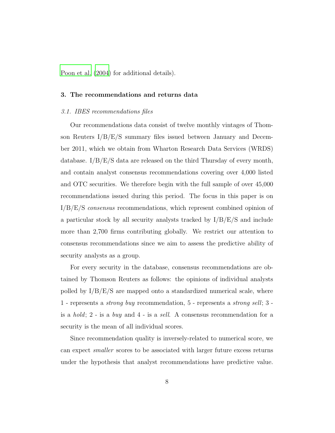<span id="page-7-0"></span>[Poon et al. \(2004\)](#page-14-7) for additional details).

#### 3. The recommendations and returns data

#### *3.1. IBES recommendations files*

Our recommendations data consist of twelve monthly vintages of Thomson Reuters I/B/E/S summary files issued between January and December 2011, which we obtain from Wharton Research Data Services (WRDS) database.  $I/B/E/S$  data are released on the third Thursday of every month, and contain analyst consensus recommendations covering over 4,000 listed and OTC securities. We therefore begin with the full sample of over 45,000 recommendations issued during this period. The focus in this paper is on I/B/E/S *consensus* recommendations, which represent combined opinion of a particular stock by all security analysts tracked by  $I/B/E/S$  and include more than 2,700 firms contributing globally. We restrict our attention to consensus recommendations since we aim to assess the predictive ability of security analysts as a group.

For every security in the database, consensus recommendations are obtained by Thomson Reuters as follows: the opinions of individual analysts polled by  $I/B/E/S$  are mapped onto a standardized numerical scale, where 1 - represents a *strong buy* recommendation, 5 - represents a *strong sell*; 3 is a *hold*; 2 - is a *buy* and 4 - is a *sell*. A consensus recommendation for a security is the mean of all individual scores.

Since recommendation quality is inversely-related to numerical score, we can expect *smaller* scores to be associated with larger future excess returns under the hypothesis that analyst recommendations have predictive value.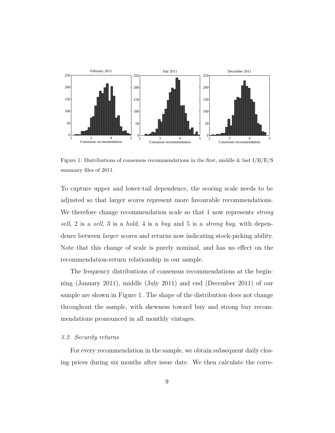

Figure 1: Distributions of consensus recommendations in the first, middle & last  $I/B/E/S$ summary files of 2011.

To capture upper and lower-tail dependence, the scoring scale needs to be adjusted so that larger scores represent more favourable recommendations. We therefore change recommendation scale so that 1 now represents *strong sell*, 2 is a *sell*, 3 is a *hold*, 4 is a *buy* and 5 is a *strong buy*, with dependence between *larger* scores and returns now indicating stock-picking ability. Note that this change of scale is purely nominal, and has no effect on the recommendation-return relationship in our sample.

The frequency distributions of consensus recommendations at the beginning (January 2011), middle (July 2011) and end (December 2011) of our sample are shown in Figure 1. The shape of the distribution does not change throughout the sample, with skewness toward buy and strong buy recommendations pronounced in all monthly vintages.

#### *3.2. Security returns*

For every recommendation in the sample, we obtain subsequent daily closing prices during six months after issue date. We then calculate the corre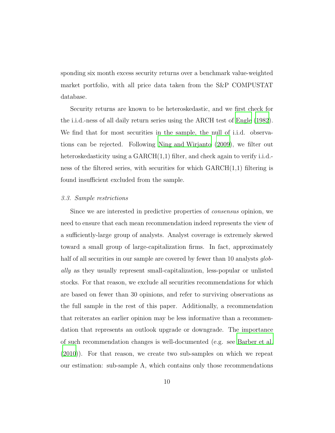sponding six month excess security returns over a benchmark value-weighted market portfolio, with all price data taken from the S&P COMPUSTAT database.

Security returns are known to be heteroskedastic, and we first check for the i.i.d.-ness of all daily return series using the ARCH test of [Engle \(1982\)](#page-13-8). We find that for most securities in the sample, the null of i.i.d. observations can be rejected. Following [Ning and Wirjanto \(2009](#page-14-6)), we filter out heteroskedasticity using a GARCH(1,1) filter, and check again to verify i.i.d.ness of the filtered series, with securities for which  $GARCH(1,1)$  filtering is found insufficient excluded from the sample.

#### *3.3. Sample restrictions*

Since we are interested in predictive properties of *consensus* opinion, we need to ensure that each mean recommendation indeed represents the view of a sufficiently-large group of analysts. Analyst coverage is extremely skewed toward a small group of large-capitalization firms. In fact, approximately half of all securities in our sample are covered by fewer than 10 analysts *globally* as they usually represent small-capitalization, less-popular or unlisted stocks. For that reason, we exclude all securities recommendations for which are based on fewer than 30 opinions, and refer to surviving observations as the full sample in the rest of this paper. Additionally, a recommendation that reiterates an earlier opinion may be less informative than a recommendation that represents an outlook upgrade or downgrade. The importance of such recommendation changes is well-documented (e.g. see [Barber et al.](#page-12-1) [\(2010\)](#page-12-1)). For that reason, we create two sub-samples on which we repeat our estimation: sub-sample A, which contains only those recommendations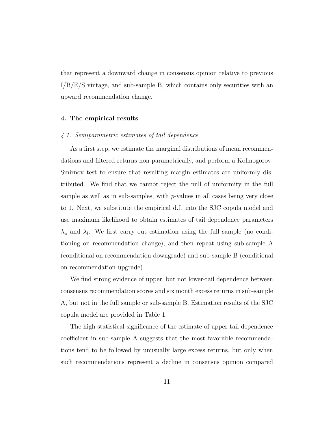that represent a downward change in consensus opinion relative to previous  $I/B/E/S$  vintage, and sub-sample B, which contains only securities with an upward recommendation change.

### <span id="page-10-0"></span>4. The empirical results

#### *4.1. Semiparametric estimates of tail dependence*

As a first step, we estimate the marginal distributions of mean recommendations and filtered returns non-parametrically, and perform a Kolmogorov-Smirnov test to ensure that resulting margin estimates are uniformly distributed. We find that we cannot reject the null of uniformity in the full sample as well as in sub-samples, with p-values in all cases being very close to 1. Next, we substitute the empirical d.f. into the SJC copula model and use maximum likelihood to obtain estimates of tail dependence parameters  $\lambda_u$  and  $\lambda_l$ . We first carry out estimation using the full sample (no conditioning on recommendation change), and then repeat using sub-sample A (conditional on recommendation downgrade) and sub-sample B (conditional on recommendation upgrade).

We find strong evidence of upper, but not lower-tail dependence between consensus recommendation scores and six month excess returns in sub-sample A, but not in the full sample or sub-sample B. Estimation results of the SJC copula model are provided in Table 1.

The high statistical significance of the estimate of upper-tail dependence coefficient in sub-sample A suggests that the most favorable recommendations tend to be followed by unusually large excess returns, but only when such recommendations represent a decline in consensus opinion compared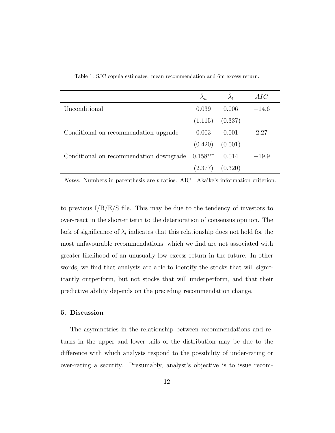|                                         |            | $\lambda_l$ | AIC     |
|-----------------------------------------|------------|-------------|---------|
| Unconditional                           | 0.039      | 0.006       | $-14.6$ |
|                                         | (1.115)    | (0.337)     |         |
| Conditional on recommendation upgrade   | 0.003      | 0.001       | 2.27    |
|                                         | (0.420)    | (0.001)     |         |
| Conditional on recommendation downgrade | $0.158***$ | 0.014       | $-19.9$ |
|                                         | (2.377)    | (0.320)     |         |

Table 1: SJC copula estimates: mean recommendation and 6m excess return.

*Notes:* Numbers in parenthesis are t-ratios. AIC - Akaike's information criterion.

to previous  $I/B/E/S$  file. This may be due to the tendency of investors to over-react in the shorter term to the deterioration of consensus opinion. The lack of significance of  $\lambda_l$  indicates that this relationship does not hold for the most unfavourable recommendations, which we find are not associated with greater likelihood of an unusually low excess return in the future. In other words, we find that analysts are able to identify the stocks that will significantly outperform, but not stocks that will underperform, and that their predictive ability depends on the preceding recommendation change.

### <span id="page-11-0"></span>5. Discussion

The asymmetries in the relationship between recommendations and returns in the upper and lower tails of the distribution may be due to the difference with which analysts respond to the possibility of under-rating or over-rating a security. Presumably, analyst's objective is to issue recom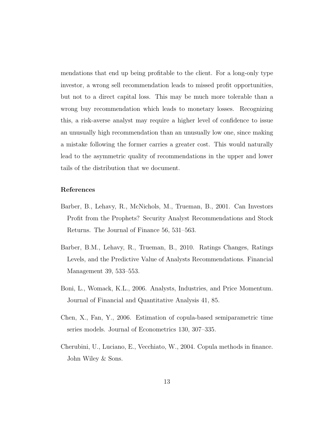mendations that end up being profitable to the client. For a long-only type investor, a wrong sell recommendation leads to missed profit opportunities, but not to a direct capital loss. This may be much more tolerable than a wrong buy recommendation which leads to monetary losses. Recognizing this, a risk-averse analyst may require a higher level of confidence to issue an unusually high recommendation than an unusually low one, since making a mistake following the former carries a greater cost. This would naturally lead to the asymmetric quality of recommendations in the upper and lower tails of the distribution that we document.

# References

- <span id="page-12-0"></span>Barber, B., Lehavy, R., McNichols, M., Trueman, B., 2001. Can Investors Profit from the Prophets? Security Analyst Recommendations and Stock Returns. The Journal of Finance 56, 531–563.
- <span id="page-12-1"></span>Barber, B.M., Lehavy, R., Trueman, B., 2010. Ratings Changes, Ratings Levels, and the Predictive Value of Analysts Recommendations. Financial Management 39, 533–553.
- <span id="page-12-2"></span>Boni, L., Womack, K.L., 2006. Analysts, Industries, and Price Momentum. Journal of Financial and Quantitative Analysis 41, 85.
- <span id="page-12-4"></span>Chen, X., Fan, Y., 2006. Estimation of copula-based semiparametric time series models. Journal of Econometrics 130, 307–335.
- <span id="page-12-3"></span>Cherubini, U., Luciano, E., Vecchiato, W., 2004. Copula methods in finance. John Wiley & Sons.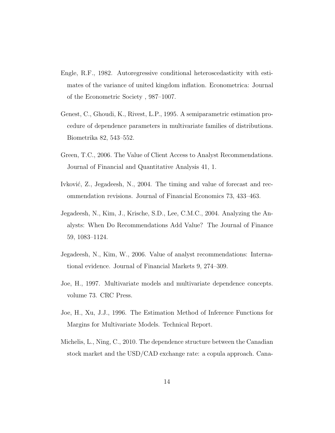- <span id="page-13-8"></span>Engle, R.F., 1982. Autoregressive conditional heteroscedasticity with estimates of the variance of united kingdom inflation. Econometrica: Journal of the Econometric Society , 987–1007.
- <span id="page-13-6"></span>Genest, C., Ghoudi, K., Rivest, L.P., 1995. A semiparametric estimation procedure of dependence parameters in multivariate families of distributions. Biometrika 82, 543–552.
- <span id="page-13-2"></span>Green, T.C., 2006. The Value of Client Access to Analyst Recommendations. Journal of Financial and Quantitative Analysis 41, 1.
- <span id="page-13-3"></span>Ivković, Z., Jegadeesh, N., 2004. The timing and value of forecast and recommendation revisions. Journal of Financial Economics 73, 433–463.
- <span id="page-13-1"></span>Jegadeesh, N., Kim, J., Krische, S.D., Lee, C.M.C., 2004. Analyzing the Analysts: When Do Recommendations Add Value? The Journal of Finance 59, 1083–1124.
- <span id="page-13-0"></span>Jegadeesh, N., Kim, W., 2006. Value of analyst recommendations: International evidence. Journal of Financial Markets 9, 274–309.
- <span id="page-13-4"></span>Joe, H., 1997. Multivariate models and multivariate dependence concepts. volume 73. CRC Press.
- <span id="page-13-7"></span>Joe, H., Xu, J.J., 1996. The Estimation Method of Inference Functions for Margins for Multivariate Models. Technical Report.
- <span id="page-13-5"></span>Michelis, L., Ning, C., 2010. The dependence structure between the Canadian stock market and the USD/CAD exchange rate: a copula approach. Cana-